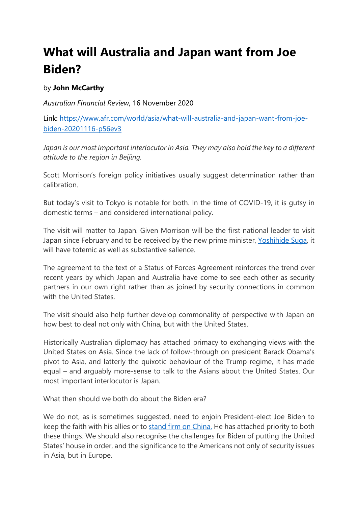## **What will Australia and Japan want from Joe Biden?**

## by **John McCarthy**

*Australian Financial Review*, 16 November 2020

Link: [https://www.afr.com/world/asia/what-will-australia-and-japan-want-from-joe](https://www.afr.com/world/asia/what-will-australia-and-japan-want-from-joe-biden-20201116-p56ev3)[biden-20201116-p56ev3](https://www.afr.com/world/asia/what-will-australia-and-japan-want-from-joe-biden-20201116-p56ev3)

Japan is our most important interlocutor in Asia. They may also hold the key to a different *attitude to the region in Beijing.*

Scott Morrison's foreign policy initiatives usually suggest determination rather than calibration.

But today's visit to Tokyo is notable for both. In the time of COVID-19, it is gutsy in domestic terms – and considered international policy.

The visit will matter to Japan. Given Morrison will be the first national leader to visit Japan since February and to be received by the new prime minister, [Yoshihide Suga,](https://www.afr.com/link/follow-20180101-p56cpn) it will have totemic as well as substantive salience.

The agreement to the text of a Status of Forces Agreement reinforces the trend over recent years by which Japan and Australia have come to see each other as security partners in our own right rather than as joined by security connections in common with the United States.

The visit should also help further develop commonality of perspective with Japan on how best to deal not only with China, but with the United States.

Historically Australian diplomacy has attached primacy to exchanging views with the United States on Asia. Since the lack of follow-through on president Barack Obama's pivot to Asia, and latterly the quixotic behaviour of the Trump regime, it has made equal – and arguably more-sense to talk to the Asians about the United States. Our most important interlocutor is Japan.

What then should we both do about the Biden era?

We do not, as is sometimes suggested, need to enjoin President-elect Joe Biden to keep the faith with his allies or to [stand firm on China.](https://www.afr.com/link/follow-20180101-p56dvf) He has attached priority to both these things. We should also recognise the challenges for Biden of putting the United States' house in order, and the significance to the Americans not only of security issues in Asia, but in Europe.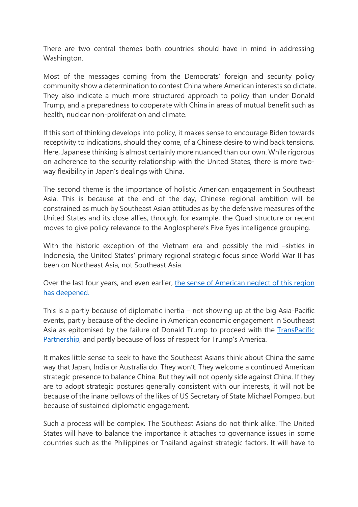There are two central themes both countries should have in mind in addressing Washington.

Most of the messages coming from the Democrats' foreign and security policy community show a determination to contest China where American interests so dictate. They also indicate a much more structured approach to policy than under Donald Trump, and a preparedness to cooperate with China in areas of mutual benefit such as health, nuclear non-proliferation and climate.

If this sort of thinking develops into policy, it makes sense to encourage Biden towards receptivity to indications, should they come, of a Chinese desire to wind back tensions. Here, Japanese thinking is almost certainly more nuanced than our own. While rigorous on adherence to the security relationship with the United States, there is more twoway flexibility in Japan's dealings with China.

The second theme is the importance of holistic American engagement in Southeast Asia. This is because at the end of the day, Chinese regional ambition will be constrained as much by Southeast Asian attitudes as by the defensive measures of the United States and its close allies, through, for example, the Quad structure or recent moves to give policy relevance to the Anglosphere's Five Eyes intelligence grouping.

With the historic exception of the Vietnam era and possibly the mid –sixties in Indonesia, the United States' primary regional strategic focus since World War II has been on Northeast Asia, not Southeast Asia.

Over the last four years, and even earlier, [the sense of American neglect of](https://www.afr.com/link/follow-20180101-p56bdb) this region [has deepened.](https://www.afr.com/link/follow-20180101-p56bdb)

This is a partly because of diplomatic inertia – not showing up at the big Asia-Pacific events, partly because of the decline in American economic engagement in Southeast Asia as epitomised by the failure of Donald Trump to proceed with the TransPacific [Partnership,](https://www.afr.com/link/follow-20180101-p55xz1) and partly because of loss of respect for Trump's America.

It makes little sense to seek to have the Southeast Asians think about China the same way that Japan, India or Australia do. They won't. They welcome a continued American strategic presence to balance China. But they will not openly side against China. If they are to adopt strategic postures generally consistent with our interests, it will not be because of the inane bellows of the likes of US Secretary of State Michael Pompeo, but because of sustained diplomatic engagement.

Such a process will be complex. The Southeast Asians do not think alike. The United States will have to balance the importance it attaches to governance issues in some countries such as the Philippines or Thailand against strategic factors. It will have to